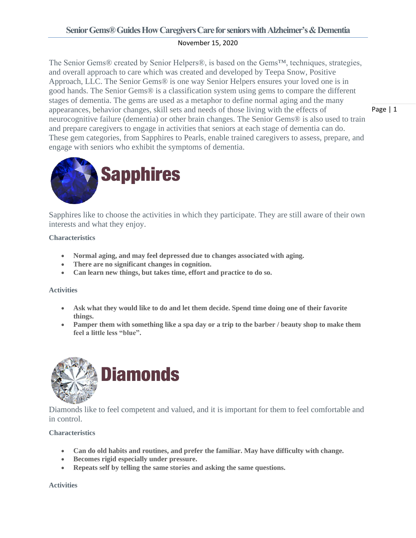# **Senior Gems® Guides How Caregivers Care for seniors with Alzheimer's & Dementia**

## November 15, 2020

The Senior Gems® created by Senior Helpers®, is based on the Gems™, techniques, strategies, and overall approach to care which was created and developed by Teepa Snow, Positive Approach, LLC. The Senior Gems® is one way Senior Helpers ensures your loved one is in good hands. The Senior Gems® is a classification system using gems to compare the different stages of dementia. The gems are used as a metaphor to define normal aging and the many appearances, behavior changes, skill sets and needs of those living with the effects of neurocognitive failure (dementia) or other brain changes. The Senior Gems® is also used to train and prepare caregivers to engage in activities that seniors at each stage of dementia can do. These gem categories, from Sapphires to Pearls, enable trained caregivers to assess, prepare, and engage with seniors who exhibit the symptoms of dementia.



Sapphires like to choose the activities in which they participate. They are still aware of their own interests and what they enjoy.

## **Characteristics**

- **Normal aging, and may feel depressed due to changes associated with aging.**
- **There are no significant changes in cognition.**
- **Can learn new things, but takes time, effort and practice to do so.**

## **Activities**

- **Ask what they would like to do and let them decide. Spend time doing one of their favorite things.**
- **Pamper them with something like a spa day or a trip to the barber / beauty shop to make them feel a little less "blue".**



Diamonds like to feel competent and valued, and it is important for them to feel comfortable and in control.

## **Characteristics**

- **Can do old habits and routines, and prefer the familiar. May have difficulty with change.**
- **Becomes rigid especially under pressure.**
- **Repeats self by telling the same stories and asking the same questions.**

**Activities**

Page | 1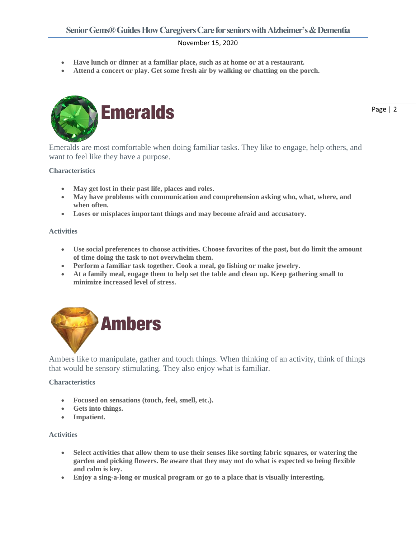## November 15, 2020

- **Have lunch or dinner at a familiar place, such as at home or at a restaurant.**
- **Attend a concert or play. Get some fresh air by walking or chatting on the porch.**



Emeralds are most comfortable when doing familiar tasks. They like to engage, help others, and want to feel like they have a purpose.

#### **Characteristics**

- **May get lost in their past life, places and roles.**
- **May have problems with communication and comprehension asking who, what, where, and when often.**
- **Loses or misplaces important things and may become afraid and accusatory.**

#### **Activities**

- **Use social preferences to choose activities. Choose favorites of the past, but do limit the amount of time doing the task to not overwhelm them.**
- **Perform a familiar task together. Cook a meal, go fishing or make jewelry.**
- **At a family meal, engage them to help set the table and clean up. Keep gathering small to minimize increased level of stress.**



Ambers like to manipulate, gather and touch things. When thinking of an activity, think of things that would be sensory stimulating. They also enjoy what is familiar.

#### **Characteristics**

- **Focused on sensations (touch, feel, smell, etc.).**
- **Gets into things.**
- **Impatient.**

#### **Activities**

- **Select activities that allow them to use their senses like sorting fabric squares, or watering the garden and picking flowers. Be aware that they may not do what is expected so being flexible and calm is key.**
- **Enjoy a sing-a-long or musical program or go to a place that is visually interesting.**

Page | 2